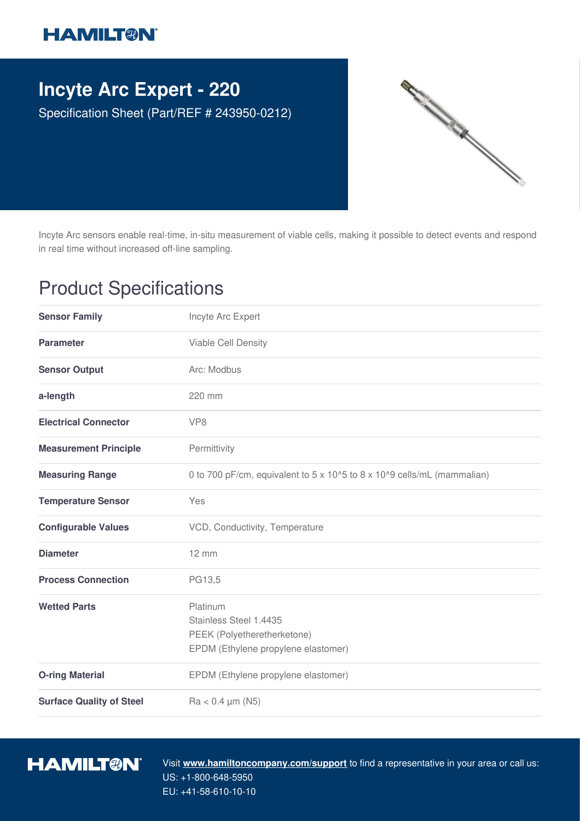## **HAMILT®N**

## **Incyte Arc Expert - 220**

Specification Sheet (Part/REF # 243950-0212)



Incyte Arc sensors enable real-time, in-situ measurement of viable cells, making it possible to detect events and respond in real time without increased off-line sampling.

## Product Specifications

| <b>Sensor Family</b>            | Incyte Arc Expert                                                                                        |
|---------------------------------|----------------------------------------------------------------------------------------------------------|
| <b>Parameter</b>                | Viable Cell Density                                                                                      |
| <b>Sensor Output</b>            | Arc: Modbus                                                                                              |
| a-length                        | 220 mm                                                                                                   |
| <b>Electrical Connector</b>     | VP <sub>8</sub>                                                                                          |
| <b>Measurement Principle</b>    | Permittivity                                                                                             |
| <b>Measuring Range</b>          | 0 to 700 pF/cm, equivalent to 5 x 10^5 to 8 x 10^9 cells/mL (mammalian)                                  |
| <b>Temperature Sensor</b>       | Yes                                                                                                      |
| <b>Configurable Values</b>      | VCD, Conductivity, Temperature                                                                           |
| <b>Diameter</b>                 | $12 \, \text{mm}$                                                                                        |
| <b>Process Connection</b>       | PG13,5                                                                                                   |
| <b>Wetted Parts</b>             | Platinum<br>Stainless Steel 1.4435<br>PEEK (Polyetheretherketone)<br>EPDM (Ethylene propylene elastomer) |
| <b>O-ring Material</b>          | EPDM (Ethylene propylene elastomer)                                                                      |
| <b>Surface Quality of Steel</b> | $Ra < 0.4 \mu m (N5)$                                                                                    |



Visit **www.hamiltoncompany.com/support** to find a representative in your area or call us: US: +1-800-648-5950 EU: +41-58-610-10-10